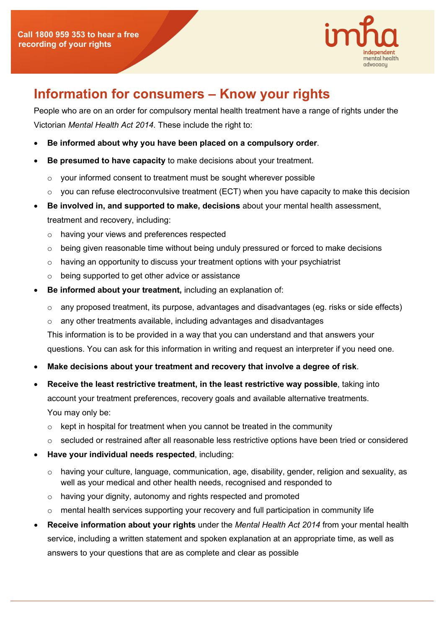

## **Information for consumers – Know your rights**

People who are on an order for compulsory mental health treatment have a range of rights under the Victorian *Mental Health Act 2014*. These include the right to:

- **Be informed about why you have been placed on a compulsory order**.
- **Be presumed to have capacity** to make decisions about your treatment.
	- o your informed consent to treatment must be sought wherever possible
	- $\circ$  you can refuse electroconvulsive treatment (ECT) when you have capacity to make this decision
- **Be involved in, and supported to make, decisions** about your mental health assessment, treatment and recovery, including:
	- o having your views and preferences respected
	- $\circ$  being given reasonable time without being unduly pressured or forced to make decisions
	- $\circ$  having an opportunity to discuss your treatment options with your psychiatrist
	- o being supported to get other advice or assistance
- **Be informed about your treatment,** including an explanation of:
	- $\circ$  any proposed treatment, its purpose, advantages and disadvantages (eg. risks or side effects)
	- o any other treatments available, including advantages and disadvantages

This information is to be provided in a way that you can understand and that answers your questions. You can ask for this information in writing and request an interpreter if you need one.

- **Make decisions about your treatment and recovery that involve a degree of risk**.
- **Receive the least restrictive treatment, in the least restrictive way possible**, taking into account your treatment preferences, recovery goals and available alternative treatments. You may only be:
	- $\circ$  kept in hospital for treatment when you cannot be treated in the community
	- $\circ$  secluded or restrained after all reasonable less restrictive options have been tried or considered
- **Have your individual needs respected**, including:
	- $\circ$  having your culture, language, communication, age, disability, gender, religion and sexuality, as well as your medical and other health needs, recognised and responded to
	- o having your dignity, autonomy and rights respected and promoted
	- $\circ$  mental health services supporting your recovery and full participation in community life
- **Receive information about your rights** under the *Mental Health Act 2014* from your mental health service, including a written statement and spoken explanation at an appropriate time, as well as answers to your questions that are as complete and clear as possible